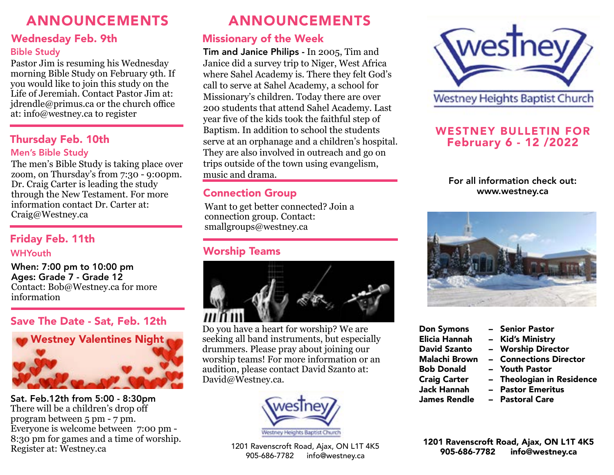# ANNOUNCEMENTS

## Wednesday Feb. 9th

Pastor Jim is resuming his Wednesday morning Bible Study on February 9th. If you would like to join this study on the Life of Jeremiah. Contact Pastor Jim at: jdrendle@primus.ca or the church office at: info@westney.ca to register

# Thursday Feb. 10th

### Men's Bible Study

The men's Bible Study is taking place over zoom, on Thursday's from 7:30 - 9:00pm. Dr. Craig Carter is leading the study through the New Testament. For more information contact Dr. Carter at: Craig@Westney.ca

# Friday Feb. 11th

### **WHYouth**

When: 7:00 pm to 10:00 pm Ages: Grade 7 - Grade 12 Contact: Bob@Westney.ca for more information

## Save The Date - Sat, Feb. 12th



Sat. Feb.12th from 5:00 - 8:30pm There will be a children's drop off program between 5 pm - 7 pm. Everyone is welcome between 7:00 pm - 8:30 pm for games and a time of worship. Register at: Westney.ca

# ANNOUNCEMENTS

# Missionary of the Week

Bible Study Tim and Janice Philips - In 2005, Tim and Janice did a survey trip to Niger, West Africa where Sahel Academy is. There they felt God's call to serve at Sahel Academy, a school for Missionary's children. Today there are over 200 students that attend Sahel Academy. Last year five of the kids took the faithful step of Baptism. In addition to school the students serve at an orphanage and a children's hospital. They are also involved in outreach and go on trips outside of the town using evangelism, music and drama.

## Connection Group

Want to get better connected? Join a connection group. Contact: smallgroups@westney.ca

# Worship Teams



Do you have a heart for worship? We are seeking all band instruments, but especially drummers. Please pray about joining our worship teams! For more information or an audition, please contact David Szanto at: David@Westney.ca.





## WESTNEY BULLETIN FOR February 6 - 12 /2022

## For all information check out: www.westney.ca



- 
- Elicia Hannah Kid's Ministry
- 
- 
- 
- 
- 
- Don Symons Senior Pastor
	-
	- **Worship Director**
- Malachi Brown Connections Director
- Bob Donald Youth Pastor
- Craig Carter Theologian in Residence
- Jack Hannah Pastor Emeritus
- James Rendle Pastoral Care

1201 Ravenscroft Road, Ajax, ON L1T 4K5

1201 Ravenscroft Road, Ajax, ON L1T 4K5<br>905-686-7782 info@westney.ca 1201 Ravenscroft Road, Ajax, ON L1T 4K5 info@westney.ca